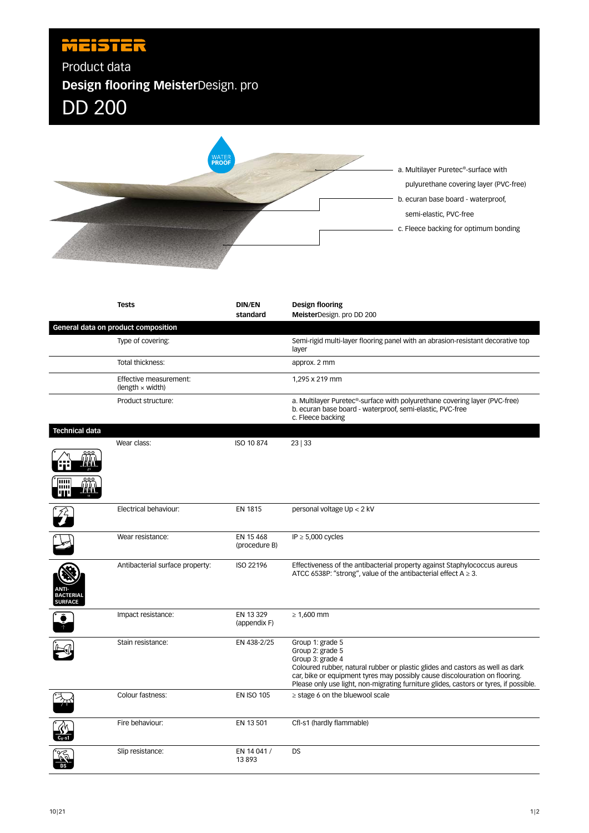## MEISTER Product data **Design flooring Meister**Design. pro DD 200 a. Multilayer Puretec®-surface with pulyurethane covering layer (PVC-free) b. ecuran base board - waterproof, semi-elastic, PVC-free c. Fleece backing for optimum bonding **Tests DIN/EN Design flooring standard Meister**Design. pro DD 200 **General data on product composition** Type of covering: Semi-rigid multi-layer flooring panel with an abrasion-resistant decorative top layer Total thickness: approx. 2 mm Effective measurement: 1,295 x 219 mm (length × width) Product structure: a. Multilayer Puretec®-surface with polyurethane covering layer (PVC-free) b. ecuran base board - waterproof, semi-elastic, PVC-free c. Fleece backing **Technical data** Wear class: ISO 10 874 23 | 33 *╢╢╢*╻ Electrical behaviour: EN 1815 personal voltage Up < 2 kV Wear resistance: EN 15 468 IP ≥ 5,000 cycles (procedure B) Antibacterial surface property: ISO 22196 Effectiveness of the antibacterial property against Staphylococcus aureus ATCC 6538P: "strong", value of the antibacterial effect  $A \ge 3$ . **ANTI-BACTERIAL SURFACE** Impact resistance: EN 13 329  $\geq 1,600$  mm (appendix F) Stain resistance: EN 438-2/25 Group 1: grade 5 Group 2: grade 5 Group 3: grade 4 Coloured rubber, natural rubber or plastic glides and castors as well as dark car, bike or equipment tyres may possibly cause discolouration on flooring. Please only use light, non-migrating furniture glides, castors or tyres, if possible. Colour fastness: EN ISO 105 ≥ stage 6 on the bluewool scale Fire behaviour: EN 13 501 Cfl-s1 (hardly flammable)